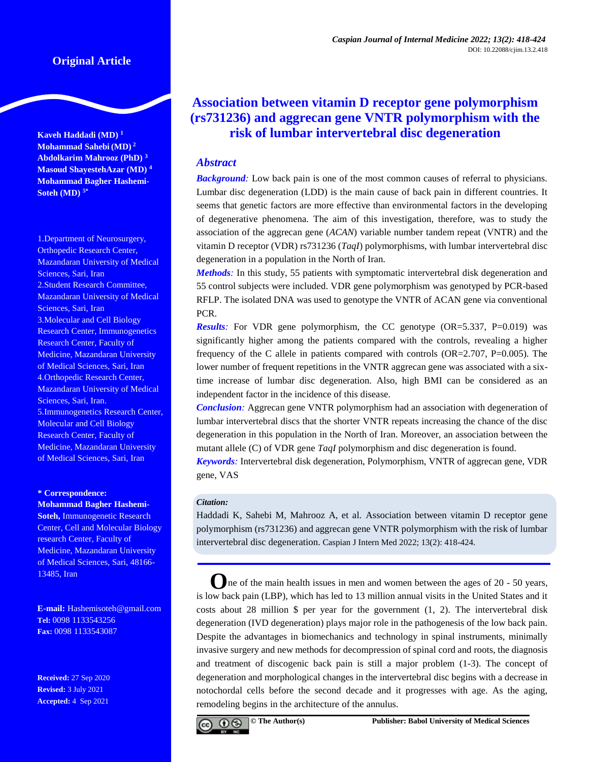# **Original Article**

**Kaveh Haddadi (MD) <sup>1</sup> Mohammad Sahebi (MD) <sup>2</sup> Abdolkarim Mahrooz (PhD) <sup>3</sup> Masoud ShayestehAzar (MD) <sup>4</sup> Mohammad Bagher Hashemi-Soteh (MD) 5\***

1.Department of Neurosurgery, Orthopedic Research Center, Mazandaran University of Medical Sciences, Sari, Iran 2.Student Research Committee, Mazandaran University of Medical Sciences, Sari, Iran 3.Molecular and Cell Biology Research Center, Immunogenetics Research Center, Faculty of Medicine, Mazandaran University of Medical Sciences, Sari, Iran 4.Orthopedic Research Center, Mazandaran University of Medical Sciences, Sari, Iran. 5.Immunogenetics Research Center, Molecular and Cell Biology Research Center, Faculty of Medicine, Mazandaran University of Medical Sciences, Sari, Iran

#### **\* Correspondence:**

**Mohammad Bagher Hashemi-Soteh,** Immunogenetic Research Center, Cell and Molecular Biology research Center, Faculty of Medicine, Mazandaran University of Medical Sciences, Sari, 48166- 13485, Iran

**E-mail:** [Hashemisoteh@gmail.com](mailto:Hashemisoteh@gmail.com) **Tel:** 0098 1133543256 **Fax:** 0098 1133543087

**Received:** 27 Sep 2020 **Revised:** 3 July 2021 **Accepted:** 4 Sep 2021

# **Association between vitamin D receptor gene polymorphism (rs731236) and aggrecan gene VNTR polymorphism with the risk of lumbar intervertebral disc degeneration**

# *Abstract*

*Background:* Low back pain is one of the most common causes of referral to physicians. Lumbar disc degeneration (LDD) is the main cause of back pain in different countries. It seems that genetic factors are more effective than environmental factors in the developing of degenerative phenomena. The aim of this investigation, therefore, was to study the association of the aggrecan gene (*ACAN*) variable number tandem repeat (VNTR) and the vitamin D receptor (VDR) rs731236 (*TaqI*) polymorphisms, with lumbar intervertebral disc degeneration in a population in the North of Iran.

*Methods*: In this study, 55 patients with symptomatic intervertebral disk degeneration and 55 control subjects were included. VDR gene polymorphism was genotyped by PCR-based RFLP. The isolated DNA was used to genotype the VNTR of ACAN gene via conventional PCR.

*Results*: For VDR gene polymorphism, the CC genotype (OR=5.337, P=0.019) was significantly higher among the patients compared with the controls, revealing a higher frequency of the C allele in patients compared with controls (OR=2.707, P=0.005). The lower number of frequent repetitions in the VNTR aggrecan gene was associated with a sixtime increase of lumbar disc degeneration. Also, high BMI can be considered as an independent factor in the incidence of this disease.

*Conclusion:* Aggrecan gene VNTR polymorphism had an association with degeneration of lumbar intervertebral discs that the shorter VNTR repeats increasing the chance of the disc degeneration in this population in the North of Iran. Moreover, an association between the mutant allele (C) of VDR gene *TaqI* polymorphism and disc degeneration is found.

*Keywords:* Intervertebral disk degeneration, Polymorphism, VNTR of aggrecan gene, VDR gene, VAS

#### *Citation:*

Haddadi K, Sahebi M, Mahrooz A, et al. Association between vitamin D receptor gene polymorphism (rs731236) and aggrecan gene VNTR polymorphism with the risk of lumbar intervertebral disc degeneration. Caspian J Intern Med 2022; 13(2): 418-424.

**O**ne of the main health issues in men and women between the ages of 20 - 50 years, is low back pain (LBP), which has led to 13 million annual visits in the United States and it costs about 28 million  $\frac{1}{2}$  per year for the government  $(1, 2)$  $(1, 2)$ . The intervertebral disk degeneration (IVD degeneration) plays major role in the pathogenesis of the low back pain. Despite the advantages in biomechanics and technology in spinal instruments, minimally invasive surgery and new methods for decompression of spinal cord and roots, the diagnosis and treatment of discogenic back pain is still a major problem [\(1-3\)](#page-5-0). The concept of degeneration and morphological changes in the intervertebral disc begins with a decrease in notochordal cells before the second decade and it progresses with age. As the aging, remodeling begins in the architecture of the annulus.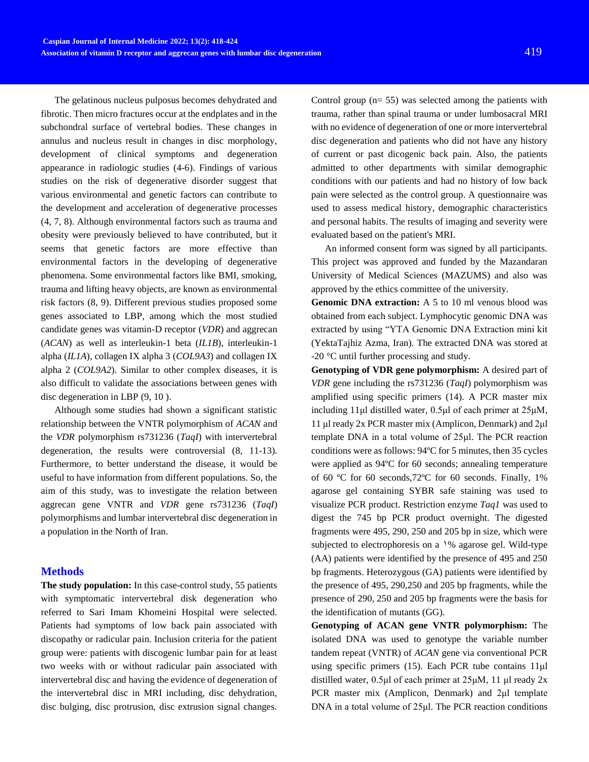The gelatinous nucleus pulposus becomes dehydrated and fibrotic. Then micro fractures occur at the endplates and in the subchondral surface of vertebral bodies. These changes in annulus and nucleus result in changes in disc morphology, development of clinical symptoms and degeneration appearance in radiologic studies [\(4-6\)](#page-5-1). Findings of various studies on the risk of degenerative disorder suggest that various environmental and genetic factors can contribute to the development and acceleration of degenerative processes [\(4,](#page-5-1) [7,](#page-5-2) [8\)](#page-5-3). Although environmental factors such as trauma and obesity were previously believed to have contributed, but it seems that genetic factors are more effective than environmental factors in the developing of degenerative phenomena. Some environmental factors like BMI, smoking, trauma and lifting heavy objects, are known as environmental risk factors [\(8,](#page-5-3) [9\)](#page-5-4). Different previous studies proposed some genes associated to LBP, among which the most studied candidate genes was vitamin-D receptor (*VDR*) and aggrecan (*ACAN*) as well as interleukin-1 beta (*IL1B*), interleukin-1 alpha (*IL1A*), collagen IX alpha 3 (*COL9A3*) and collagen IX alpha 2 (*COL9A2*). Similar to other complex diseases, it is also difficult to validate the associations between genes with disc degeneration in LBP [\(9,](#page-5-4) [10 \)](#page-5-5).

Although some studies had shown a significant statistic relationship between the VNTR polymorphism of *ACAN* and the *VDR* polymorphism rs731236 (*TaqI*) with intervertebral degeneration, the results were controversial  $(8, 11-13)$  $(8, 11-13)$  $(8, 11-13)$ . Furthermore, to better understand the disease, it would be useful to have information from different populations. So, the aim of this study, was to investigate the relation between aggrecan gene VNTR and *VDR* gene rs731236 (*TaqI*) polymorphisms and lumbar intervertebral disc degeneration in a population in the North of Iran.

#### **Methods**

**The study population:** In this case-control study, 55 patients with symptomatic intervertebral disk degeneration who referred to Sari Imam Khomeini Hospital were selected. Patients had symptoms of low back pain associated with discopathy or radicular pain. Inclusion criteria for the patient group were: patients with discogenic lumbar pain for at least two weeks with or without radicular pain associated with intervertebral disc and having the evidence of degeneration of the intervertebral disc in MRI including, disc dehydration, disc bulging, disc protrusion, disc extrusion signal changes.

Control group  $(n= 55)$  was selected among the patients with trauma, rather than spinal trauma or under lumbosacral MRI with no evidence of degeneration of one or more intervertebral disc degeneration and patients who did not have any history of current or past dicogenic back pain. Also, the patients admitted to other departments with similar demographic conditions with our patients and had no history of low back pain were selected as the control group. A questionnaire was used to assess medical history, demographic characteristics and personal habits. The results of imaging and severity were evaluated based on the patient's MRI.

An informed consent form was signed by all participants. This project was approved and funded by the Mazandaran University of Medical Sciences (MAZUMS) and also was approved by the ethics committee of the university.

**Genomic DNA extraction:** A 5 to 10 ml venous blood was obtained from each subject. Lymphocytic genomic DNA was extracted by using "YTA Genomic DNA Extraction mini kit (YektaTajhiz Azma, Iran). The extracted DNA was stored at -20 °C until further processing and study.

**Genotyping of VDR gene polymorphism:** A desired part of *VDR* gene including the rs731236 (*TaqI*) polymorphism was amplified using specific primers [\(14\)](#page-5-7). A PCR master mix including 11μl distilled water, 0.5μl of each primer at 25μM, 11 μl ready 2x PCR master mix (Amplicon, Denmark) and 2μl template DNA in a total volume of 25μl. The PCR reaction conditions were as follows: 94ºC for 5 minutes, then 35 cycles were applied as 94ºC for 60 seconds; annealing temperature of 60 ºC for 60 seconds,72ºC for 60 seconds. Finally, 1% agarose gel containing SYBR safe staining was used to visualize PCR product. Restriction enzyme *Taq1* was used to digest the 745 bp PCR product overnight. The digested fragments were 495, 290, 250 and 205 bp in size, which were subjected to electrophoresis on a 1% agarose gel. Wild-type (AA) patients were identified by the presence of 495 and 250 bp fragments. Heterozygous (GA) patients were identified by the presence of 495, 290,250 and 205 bp fragments, while the presence of 290, 250 and 205 bp fragments were the basis for the identification of mutants (GG).

**Genotyping of ACAN gene VNTR polymorphism:** The isolated DNA was used to genotype the variable number tandem repeat (VNTR) of *ACAN* gene via conventional PCR using specific primers [\(15\)](#page-5-8). Each PCR tube contains 11μl distilled water, 0.5μl of each primer at 25μM, 11 μl ready 2x PCR master mix (Amplicon, Denmark) and 2μl template DNA in a total volume of 25μl. The PCR reaction conditions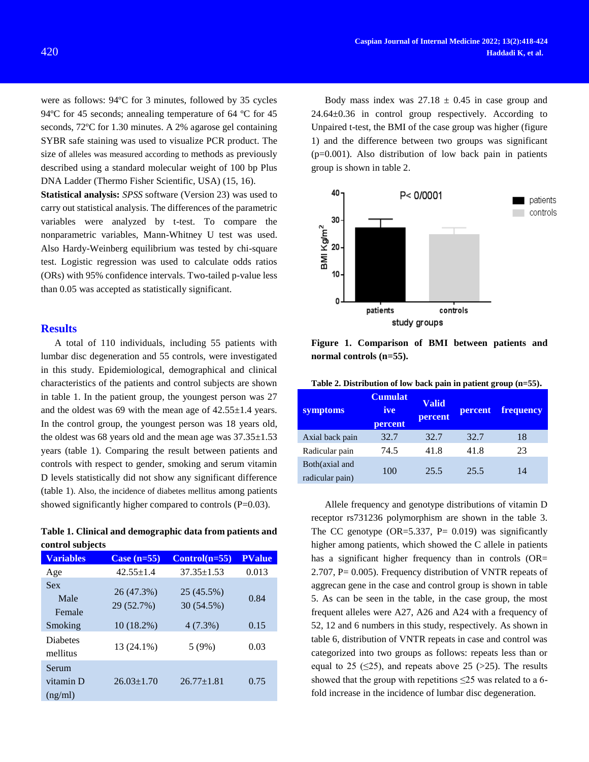were as follows: 94ºC for 3 minutes, followed by 35 cycles 94 °C for 45 seconds; annealing temperature of 64 °C for 45 seconds, 72ºC for 1.30 minutes. A 2% agarose gel containing SYBR safe staining was used to visualize PCR product. The size of alleles was measured according to methods as previously described using a standard molecular weight of 100 bp Plus DNA Ladder (Thermo Fisher Scientific, USA) [\(15,](#page-5-8) [16\)](#page-5-9).

**Statistical analysis:** *SPSS* software (Version 23) was used to carry out statistical analysis. The differences of the parametric variables were analyzed by t-test. To compare the nonparametric variables, Mann-Whitney U test was used. Also Hardy-Weinberg equilibrium was tested by chi-square test. Logistic regression was used to calculate odds ratios (ORs) with 95% confidence intervals. Two-tailed p-value less than 0.05 was accepted as statistically significant.

# **Results**

A total of 110 individuals, including 55 patients with lumbar disc degeneration and 55 controls, were investigated in this study. Epidemiological, demographical and clinical characteristics of the patients and control subjects are shown in table 1. In the patient group, the youngest person was 27 and the oldest was 69 with the mean age of 42.55±1.4 years. In the control group, the youngest person was 18 years old, the oldest was 68 years old and the mean age was  $37.35 \pm 1.53$ years (table 1). Comparing the result between patients and controls with respect to gender, smoking and serum vitamin D levels statistically did not show any significant difference (table 1). Also, the incidence of diabetes mellitus among patients showed significantly higher compared to controls (P=0.03).

**Table 1. Clinical and demographic data from patients and control subjects**

| <b>Variables</b>              | Case $(n=55)$            | $Control(n=55)$          | <b>PValue</b> |
|-------------------------------|--------------------------|--------------------------|---------------|
| Age                           | $42.55 + 1.4$            | $37.35 \pm 1.53$         | 0.013         |
| <b>Sex</b><br>Male<br>Female  | 26 (47.3%)<br>29 (52.7%) | 25 (45.5%)<br>30 (54.5%) | 0.84          |
| Smoking                       | $10(18.2\%)$             | $4(7.3\%)$               | 0.15          |
| <b>Diabetes</b><br>mellitus   | 13 (24.1%)               | 5(9%)                    | 0.03          |
| Serum<br>vitamin D<br>(ng/ml) | $26.03 \pm 1.70$         | $26.77 \pm 1.81$         | 0.75          |

Body mass index was  $27.18 \pm 0.45$  in case group and 24.64±0.36 in control group respectively. According to Unpaired t-test, the BMI of the case group was higher (figure 1) and the difference between two groups was significant (p=0.001). Also distribution of low back pain in patients group is shown in table 2.



**Figure 1. Comparison of BMI between patients and normal controls (n=55).**

| symptoms                          | <b>Cumulat</b><br>ive<br>percent | <b>Valid</b><br>percent | percent | frequency |
|-----------------------------------|----------------------------------|-------------------------|---------|-----------|
| Axial back pain                   | 32.7                             | 32.7                    | 32.7    | 18        |
| Radicular pain                    | 74.5                             | 41.8                    | 41.8    | 23        |
| Both(axial and<br>radicular pain) | 100                              | 25.5                    | 25.5    | 14        |

Allele frequency and genotype distributions of vitamin D receptor rs731236 polymorphism are shown in the table 3. The CC genotype  $(OR=5.337, P= 0.019)$  was significantly higher among patients, which showed the C allele in patients has a significant higher frequency than in controls (OR= 2.707, P= 0.005). Frequency distribution of VNTR repeats of aggrecan gene in the case and control group is shown in table 5. As can be seen in the table, in the case group, the most frequent alleles were A27, A26 and A24 with a frequency of 52, 12 and 6 numbers in this study, respectively. As shown in table 6, distribution of VNTR repeats in case and control was categorized into two groups as follows: repeats less than or equal to 25 ( $\leq$ 25), and repeats above 25 ( $>$ 25). The results showed that the group with repetitions  $\leq$ 25 was related to a 6fold increase in the incidence of lumbar disc degeneration.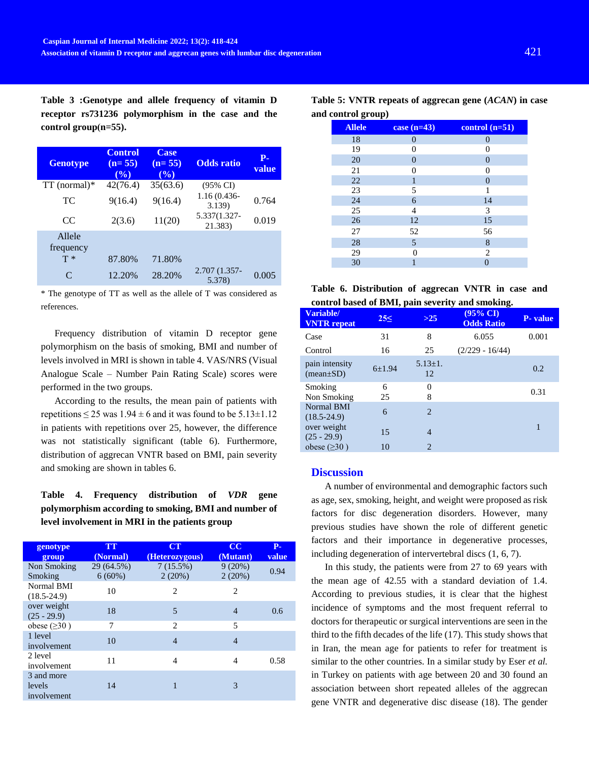**Table 3 :Genotype and allele frequency of vitamin D receptor rs731236 polymorphism in the case and the**  control group(n=55).

| <b>Genotype</b>     | <b>Control</b><br>$(n=55)$<br>$($ %) | <b>Case</b><br>$(n=55)$<br>$(\overline{\frac{0}{0}})$ | <b>Odds</b> ratio        | <b>P-</b><br>value |
|---------------------|--------------------------------------|-------------------------------------------------------|--------------------------|--------------------|
| $TT$ (normal) $*$   | 42(76.4)                             | 35(63.6)                                              | $(95\% \text{ CI})$      |                    |
| TC.                 | 9(16.4)                              | 9(16.4)                                               | $1.16(0.436 -$<br>3.139) | 0.764              |
| CC.                 | 2(3.6)                               | 11(20)                                                | 5.337(1.327-<br>21.383)  | 0.019              |
| Allele<br>frequency |                                      |                                                       |                          |                    |
| $T*$                | 87.80%                               | 71.80%                                                |                          |                    |
| $\subset$           | 12.20%                               | 28.20%                                                | 2.707 (1.357-<br>5.378)  | 0.005              |

\* The genotype of TT as well as the allele of T was considered as references.

Frequency distribution of vitamin D receptor gene polymorphism on the basis of smoking, BMI and number of levels involved in MRI is shown in table 4. VAS/NRS (Visual Analogue Scale – Number Pain Rating Scale) scores were performed in the two groups.

According to the results, the mean pain of patients with repetitions  $\leq 25$  was  $1.94 \pm 6$  and it was found to be  $5.13 \pm 1.12$ in patients with repetitions over 25, however, the difference was not statistically significant (table 6). Furthermore, distribution of aggrecan VNTR based on BMI, pain severity and smoking are shown in tables 6.

**Table 4. Frequency distribution of** *VDR* **gene polymorphism according to smoking, BMI and number of level involvement in MRI in the patients group**

| genotype<br>group                   | <b>TT</b><br>(Normal)   | CT<br>(Heterozygous) | $\overline{\text{cc}}$<br>(Mutant) | <b>P-</b><br>value |
|-------------------------------------|-------------------------|----------------------|------------------------------------|--------------------|
| Non Smoking<br>Smoking              | 29 (64.5%)<br>$6(60\%)$ | 7(15.5%)<br>2(20%)   | 9(20%)<br>2(20%)                   | 0.94               |
| Normal BMI<br>$(18.5 - 24.9)$       | 10                      | $\overline{c}$       | 2                                  |                    |
| over weight<br>$(25 - 29.9)$        | 18                      | 5                    | $\overline{4}$                     | 0.6                |
| obese $(\geq 30)$                   | 7                       | $\mathfrak{D}$       | 5                                  |                    |
| 1 level<br>involvement              | 10                      | $\overline{4}$       | 4                                  |                    |
| 2 level<br>involvement              | 11                      | 4                    | 4                                  | 0.58               |
| 3 and more<br>levels<br>involvement | 14                      |                      | 3                                  |                    |

**Table 5: VNTR repeats of aggrecan gene (***ACAN***) in case and control group)**

| <b>Allele</b> | case $(n=43)$  | control $(n=51)$ |
|---------------|----------------|------------------|
| 18            | $\overline{0}$ | $\overline{0}$   |
| 19            | 0              | 0                |
| 20            | $\overline{0}$ | $\overline{0}$   |
| 21            | 0              | $\theta$         |
| 22            | 1              | $\mathbf{0}$     |
| 23            | 5              | 1                |
| 24            | 6              | 14               |
| 25            | 4              | 3                |
| 26            | 12             | 15               |
| 27            | 52             | 56               |
| 28            | 5              | 8                |
| 29            | 0              | $\overline{c}$   |
| 30            | 1              | 0                |

| Table 6. Distribution of aggrecan VNTR in case and |  |  |  |
|----------------------------------------------------|--|--|--|
| control based of BMI, pain severity and smoking.   |  |  |  |

|                                   | , r.      |                     | ō                                        |                 |
|-----------------------------------|-----------|---------------------|------------------------------------------|-----------------|
| Variable/<br><b>VNTR</b> repeat   | $25 \leq$ | $>25$               | $(95\% \text{ CI})$<br><b>Odds Ratio</b> | <b>P</b> -value |
| Case                              | 31        | 8                   | 6.055                                    | 0.001           |
| Control                           | 16        | 25                  | $(2/229 - 16/44)$                        |                 |
| pain intensity<br>$(mean \pm SD)$ | 6±1.94    | $5.13 \pm 1.$<br>12 |                                          | 0.2             |
| Smoking<br>Non Smoking            | 6<br>25   | $\theta$<br>8       |                                          | 0.31            |
| Normal BMI<br>$(18.5 - 24.9)$     | 6         | $\overline{c}$      |                                          |                 |
| over weight<br>$(25 - 29.9)$      | 15        | $\overline{4}$      |                                          |                 |
| obese $(\geq 30)$                 | 10        | $\overline{c}$      |                                          |                 |

## **Discussion**

A number of environmental and demographic factors such as age, sex, smoking, height, and weight were proposed as risk factors for disc degeneration disorders. However, many previous studies have shown the role of different genetic factors and their importance in degenerative processes, including degeneration of intervertebral discs [\(1,](#page-5-0) [6,](#page-5-10) [7\)](#page-5-2).

In this study, the patients were from 27 to 69 years with the mean age of 42.55 with a standard deviation of 1.4. According to previous studies, it is clear that the highest incidence of symptoms and the most frequent referral to doctors for therapeutic or surgical interventions are seen in the third to the fifth decades of the life [\(17\)](#page-5-11). This study shows that in Iran, the mean age for patients to refer for treatment is similar to the other countries. In a similar study by Eser *et al.* in Turkey on patients with age between 20 and 30 found an association between short repeated alleles of the aggrecan gene VNTR and degenerative disc disease [\(18\)](#page-5-12). The gender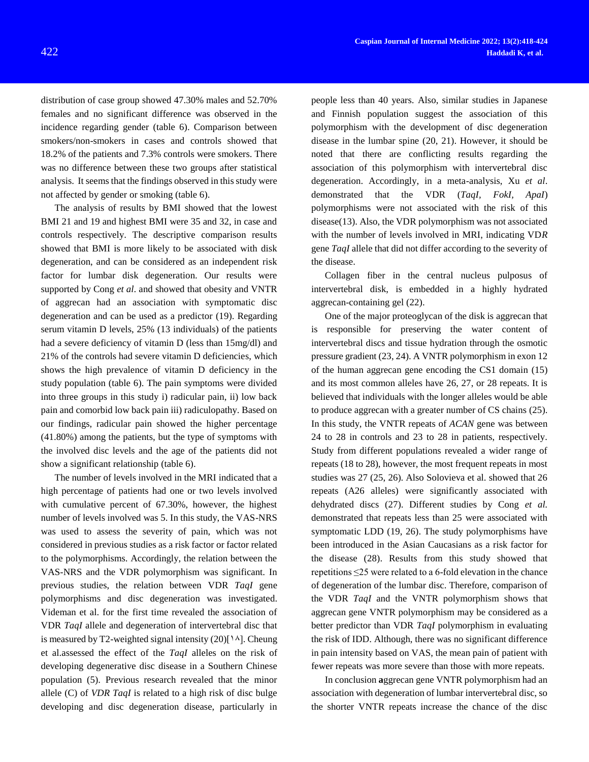distribution of case group showed 47.30% males and 52.70% females and no significant difference was observed in the incidence regarding gender (table 6). Comparison between smokers/non-smokers in cases and controls showed that 18.2% of the patients and 7.3% controls were smokers. There was no difference between these two groups after statistical analysis. It seems that the findings observed in this study were not affected by gender or smoking (table 6).

The analysis of results by BMI showed that the lowest BMI 21 and 19 and highest BMI were 35 and 32, in case and controls respectively. The descriptive comparison results showed that BMI is more likely to be associated with disk degeneration, and can be considered as an independent risk factor for lumbar disk degeneration. Our results were supported by Cong *et al*. and showed that obesity and VNTR of aggrecan had an association with symptomatic disc degeneration and can be used as a predictor [\(19\)](#page-5-13). Regarding serum vitamin D levels, 25% (13 individuals) of the patients had a severe deficiency of vitamin D (less than 15mg/dl) and 21% of the controls had severe vitamin D deficiencies, which shows the high prevalence of vitamin D deficiency in the study population (table 6). The pain symptoms were divided into three groups in this study i) radicular pain, ii) low back pain and comorbid low back pain iii) radiculopathy. Based on our findings, radicular pain showed the higher percentage (41.80%) among the patients, but the type of symptoms with the involved disc levels and the age of the patients did not show a significant relationship (table 6).

The number of levels involved in the MRI indicated that a high percentage of patients had one or two levels involved with cumulative percent of 67.30%, however, the highest number of levels involved was 5. In this study, the VAS-NRS was used to assess the severity of pain, which was not considered in previous studies as a risk factor or factor related to the polymorphisms. Accordingly, the relation between the VAS-NRS and the VDR polymorphism was significant. In previous studies, the relation between VDR *TaqI* gene polymorphisms and disc degeneration was investigated. Videman et al. for the first time revealed the association of VDR *TaqI* allele and degeneration of intervertebral disc that is measured by T2-weighted signal intensity  $(20)[1\text{A}]$  $(20)[1\text{A}]$ . Cheung et al.assessed the effect of the *TaqI* alleles on the risk of developing degenerative disc disease in a Southern Chinese population [\(5\)](#page-5-14). Previous research revealed that the minor allele (C) of *VDR TaqI* is related to a high risk of disc bulge developing and disc degeneration disease, particularly in

people less than 40 years. Also, similar studies in Japanese and Finnish population suggest the association of this polymorphism with the development of disc degeneration disease in the lumbar spine [\(20,](#page-6-0) [21\)](#page-6-1). However, it should be noted that there are conflicting results regarding the association of this polymorphism with intervertebral disc degeneration. Accordingly, in a meta-analysis, Xu *et al*. demonstrated that the VDR (*TaqI, FokI, ApaI*) polymorphisms were not associated with the risk of this disease[\(13\)](#page-5-15). Also, the VDR polymorphism was not associated with the number of levels involved in MRI, indicating VD*R* gene *TaqI* allele that did not differ according to the severity of the disease.

Collagen fiber in the central nucleus pulposus of intervertebral disk, is embedded in a highly hydrated aggrecan-containing gel [\(22\)](#page-6-2).

One of the major proteoglycan of the disk is aggrecan that is responsible for preserving the water content of intervertebral discs and tissue hydration through the osmotic pressure gradient [\(23,](#page-6-3) [24\)](#page-6-4). A VNTR polymorphism in exon 12 of the human aggrecan gene encoding the CS1 domain [\(15\)](#page-5-8) and its most common alleles have 26, 27, or 28 repeats. It is believed that individuals with the longer alleles would be able to produce aggrecan with a greater number of CS chains [\(25\)](#page-6-5). In this study, the VNTR repeats of *ACAN* gene was between 24 to 28 in controls and 23 to 28 in patients, respectively. Study from different populations revealed a wider range of repeats (18 to 28), however, the most frequent repeats in most studies was 27 [\(25,](#page-6-5) [26\)](#page-6-6). Also Solovieva et al. showed that 26 repeats (A26 alleles) were significantly associated with dehydrated discs [\(27\)](#page-6-7). Different studies by Cong *et al.* demonstrated that repeats less than 25 were associated with symptomatic LDD [\(19,](#page-5-13) [26\)](#page-6-6). The study polymorphisms have been introduced in the Asian Caucasians as a risk factor for the disease (28). Results from this study showed that repetitions ≤25 were related to a 6-fold elevation in the chance of degeneration of the lumbar disc. Therefore, comparison of the VDR *TaqI* and the VNTR polymorphism shows that aggrecan gene VNTR polymorphism may be considered as a better predictor than VDR *TaqI* polymorphism in evaluating the risk of IDD. Although, there was no significant difference in pain intensity based on VAS, the mean pain of patient with fewer repeats was more severe than those with more repeats.

In conclusion **a**ggrecan gene VNTR polymorphism had an association with degeneration of lumbar intervertebral disc, so the shorter VNTR repeats increase the chance of the disc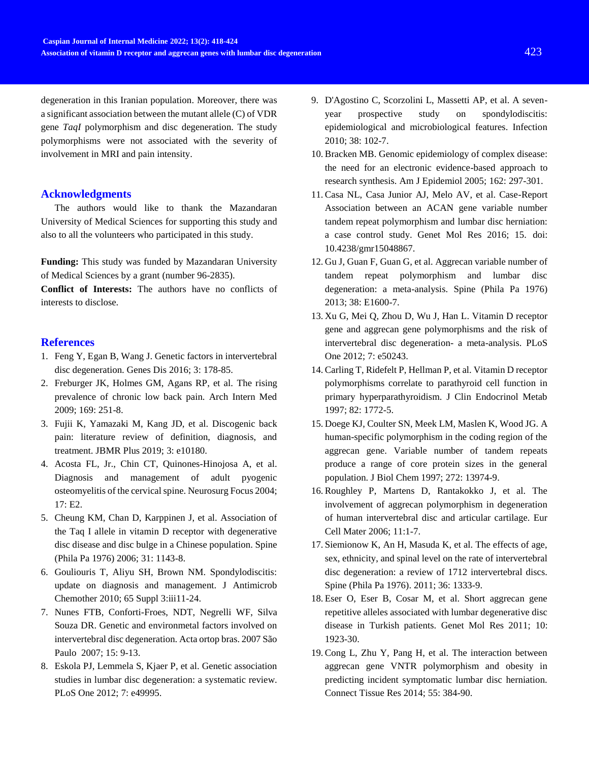degeneration in this Iranian population. Moreover, there was a significant association between the mutant allele (C) of VDR gene *TaqI* polymorphism and disc degeneration. The study polymorphisms were not associated with the severity of involvement in MRI and pain intensity.

# **Acknowledgments**

The authors would like to thank the Mazandaran University of Medical Sciences for supporting this study and also to all the volunteers who participated in this study.

**Funding:** This study was funded by Mazandaran University of Medical Sciences by a grant (number 96-2835).

**Conflict of Interests:** The authors have no conflicts of interests to disclose.

## **References**

- <span id="page-5-0"></span>1. Feng Y, Egan B, Wang J. Genetic factors in intervertebral disc degeneration. Genes Dis 2016; 3: 178-85.
- 2. Freburger JK, Holmes GM, Agans RP, et al. The rising prevalence of chronic low back pain. Arch Intern Med 2009; 169: 251-8.
- 3. Fujii K, Yamazaki M, Kang JD, et al. Discogenic back pain: literature review of definition, diagnosis, and treatment. JBMR Plus 2019; 3: e10180.
- <span id="page-5-1"></span>4. Acosta FL, Jr., Chin CT, Quinones-Hinojosa A, et al. Diagnosis and management of adult pyogenic osteomyelitis of the cervical spine. Neurosurg Focus 2004; 17: E2.
- <span id="page-5-14"></span>5. Cheung KM, Chan D, Karppinen J, et al. Association of the Taq I allele in vitamin D receptor with degenerative disc disease and disc bulge in a Chinese population. Spine (Phila Pa 1976) 2006; 31: 1143-8.
- <span id="page-5-10"></span>6. Gouliouris T, Aliyu SH, Brown NM. Spondylodiscitis: update on diagnosis and management. J Antimicrob Chemother 2010; 65 Suppl 3:iii11-24.
- <span id="page-5-2"></span>7. Nunes FTB, Conforti-Froes, NDT, Negrelli WF, Silva Souza DR. Genetic and environmetal factors involved on intervertebral disc degeneration. Acta ortop bras. 2007 São Paulo 2007; 15: 9-13.
- <span id="page-5-3"></span>8. Eskola PJ, Lemmela S, Kjaer P, et al. Genetic association studies in lumbar disc degeneration: a systematic review. PLoS One 2012; 7: e49995.
- <span id="page-5-4"></span>9. D'Agostino C, Scorzolini L, Massetti AP, et al. A sevenyear prospective study on spondylodiscitis: epidemiological and microbiological features. Infection 2010; 38: 102-7.
- <span id="page-5-5"></span>10. Bracken MB. Genomic epidemiology of complex disease: the need for an electronic evidence-based approach to research synthesis. Am J Epidemiol 2005; 162: 297-301.
- <span id="page-5-6"></span>11. Casa NL, Casa Junior AJ, Melo AV, et al. Case-Report Association between an ACAN gene variable number tandem repeat polymorphism and lumbar disc herniation: a case control study. Genet Mol Res 2016; 15. doi: 10.4238/gmr15048867.
- 12. Gu J, Guan F, Guan G, et al. Aggrecan variable number of tandem repeat polymorphism and lumbar disc degeneration: a meta-analysis. Spine (Phila Pa 1976) 2013; 38: E1600-7.
- <span id="page-5-15"></span>13. Xu G, Mei Q, Zhou D, Wu J, Han L. Vitamin D receptor gene and aggrecan gene polymorphisms and the risk of intervertebral disc degeneration- a meta-analysis. PLoS One 2012; 7: e50243.
- <span id="page-5-7"></span>14. Carling T, Ridefelt P, Hellman P, et al. Vitamin D receptor polymorphisms correlate to parathyroid cell function in primary hyperparathyroidism. J Clin Endocrinol Metab 1997; 82: 1772-5.
- <span id="page-5-8"></span>15. Doege KJ, Coulter SN, Meek LM, Maslen K, Wood JG. A human-specific polymorphism in the coding region of the aggrecan gene. Variable number of tandem repeats produce a range of core protein sizes in the general population. J Biol Chem 1997; 272: 13974-9.
- <span id="page-5-9"></span>16. Roughley P, Martens D, Rantakokko J, et al. The involvement of aggrecan polymorphism in degeneration of human intervertebral disc and articular cartilage. Eur Cell Mater 2006; 11:1-7.
- <span id="page-5-11"></span>17. Siemionow K, An H, Masuda K, et al. The effects of age, sex, ethnicity, and spinal level on the rate of intervertebral disc degeneration: a review of 1712 intervertebral discs. Spine (Phila Pa 1976). 2011; 36: 1333-9.
- <span id="page-5-12"></span>18. Eser O, Eser B, Cosar M, et al. Short aggrecan gene repetitive alleles associated with lumbar degenerative disc disease in Turkish patients. Genet Mol Res 2011; 10: 1923-30.
- <span id="page-5-13"></span>19. Cong L, Zhu Y, Pang H, et al. The interaction between aggrecan gene VNTR polymorphism and obesity in predicting incident symptomatic lumbar disc herniation. Connect Tissue Res 2014; 55: 384-90.